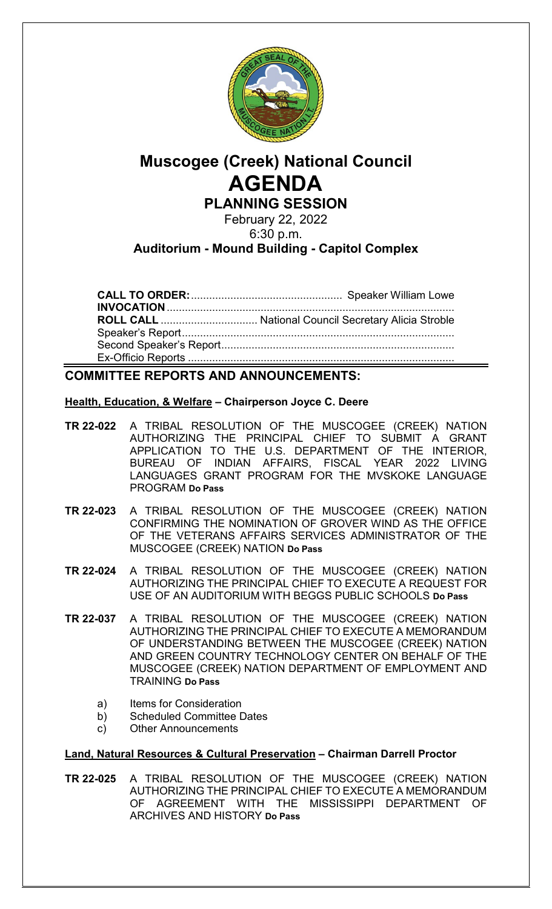

# **Muscogee (Creek) National Council AGENDA PLANNING SESSION**

February 22, 2022 6:30 p.m.

# **Auditorium - Mound Building - Capitol Complex**

**CALL TO ORDER:**.................................................. Speaker William Lowe **INVOCATION**............................................................................................... **ROLL CALL** ................................ National Council Secretary Alicia Stroble Speaker's Report.......................................................................................... Second Speaker's Report............................................................................. Ex-Officio Reports ........................................................................................

# **COMMITTEE REPORTS AND ANNOUNCEMENTS:**

### **Health, Education, & Welfare – Chairperson Joyce C. Deere**

- **TR 22-022** A TRIBAL RESOLUTION OF THE MUSCOGEE (CREEK) NATION AUTHORIZING THE PRINCIPAL CHIEF TO SUBMIT A GRANT APPLICATION TO THE U.S. DEPARTMENT OF THE INTERIOR, BUREAU OF INDIAN AFFAIRS, FISCAL YEAR 2022 LIVING LANGUAGES GRANT PROGRAM FOR THE MVSKOKE LANGUAGE PROGRAM **Do Pass**
- **TR 22-023** A TRIBAL RESOLUTION OF THE MUSCOGEE (CREEK) NATION CONFIRMING THE NOMINATION OF GROVER WIND AS THE OFFICE OF THE VETERANS AFFAIRS SERVICES ADMINISTRATOR OF THE MUSCOGEE (CREEK) NATION **Do Pass**
- **TR 22-024** A TRIBAL RESOLUTION OF THE MUSCOGEE (CREEK) NATION AUTHORIZING THE PRINCIPAL CHIEF TO EXECUTE A REQUEST FOR USE OF AN AUDITORIUM WITH BEGGS PUBLIC SCHOOLS **Do Pass**
- **TR 22-037** A TRIBAL RESOLUTION OF THE MUSCOGEE (CREEK) NATION AUTHORIZING THE PRINCIPAL CHIEF TO EXECUTE A MEMORANDUM OF UNDERSTANDING BETWEEN THE MUSCOGEE (CREEK) NATION AND GREEN COUNTRY TECHNOLOGY CENTER ON BEHALF OF THE MUSCOGEE (CREEK) NATION DEPARTMENT OF EMPLOYMENT AND TRAINING **Do Pass**
	- a) Items for Consideration
	- b) Scheduled Committee Dates
	- c) Other Announcements

## **Land, Natural Resources & Cultural Preservation – Chairman Darrell Proctor**

**TR 22-025** A TRIBAL RESOLUTION OF THE MUSCOGEE (CREEK) NATION AUTHORIZING THE PRINCIPAL CHIEF TO EXECUTE A MEMORANDUM OF AGREEMENT WITH THE MISSISSIPPI DEPARTMENT OF ARCHIVES AND HISTORY **Do Pass**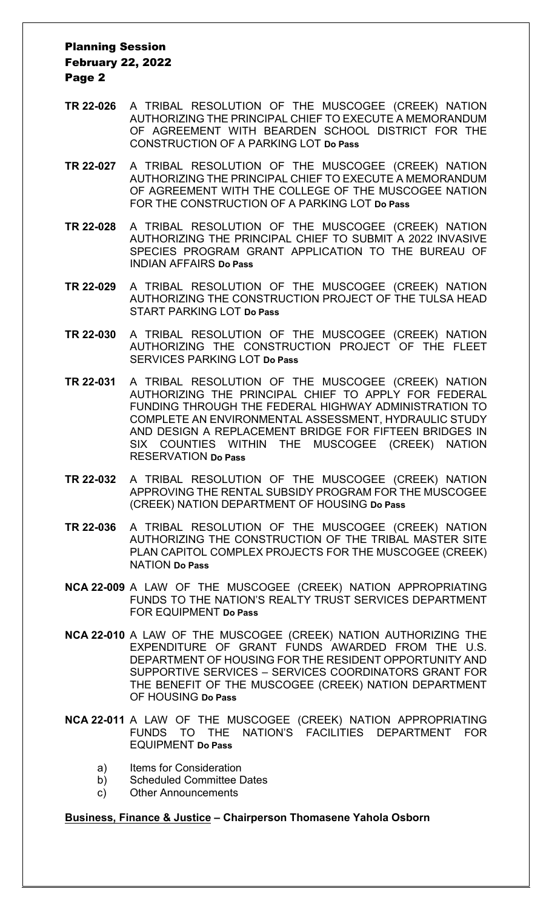## Planning Session February 22, 2022 Page 2

- **TR 22-026** A TRIBAL RESOLUTION OF THE MUSCOGEE (CREEK) NATION AUTHORIZING THE PRINCIPAL CHIEF TO EXECUTE A MEMORANDUM OF AGREEMENT WITH BEARDEN SCHOOL DISTRICT FOR THE CONSTRUCTION OF A PARKING LOT **Do Pass**
- **TR 22-027** A TRIBAL RESOLUTION OF THE MUSCOGEE (CREEK) NATION AUTHORIZING THE PRINCIPAL CHIEF TO EXECUTE A MEMORANDUM OF AGREEMENT WITH THE COLLEGE OF THE MUSCOGEE NATION FOR THE CONSTRUCTION OF A PARKING LOT **Do Pass**
- **TR 22-028** A TRIBAL RESOLUTION OF THE MUSCOGEE (CREEK) NATION AUTHORIZING THE PRINCIPAL CHIEF TO SUBMIT A 2022 INVASIVE SPECIES PROGRAM GRANT APPLICATION TO THE BUREAU OF INDIAN AFFAIRS **Do Pass**
- **TR 22-029** A TRIBAL RESOLUTION OF THE MUSCOGEE (CREEK) NATION AUTHORIZING THE CONSTRUCTION PROJECT OF THE TULSA HEAD START PARKING LOT **Do Pass**
- **TR 22-030** A TRIBAL RESOLUTION OF THE MUSCOGEE (CREEK) NATION AUTHORIZING THE CONSTRUCTION PROJECT OF THE FLEET SERVICES PARKING LOT **Do Pass**
- **TR 22-031** A TRIBAL RESOLUTION OF THE MUSCOGEE (CREEK) NATION AUTHORIZING THE PRINCIPAL CHIEF TO APPLY FOR FEDERAL FUNDING THROUGH THE FEDERAL HIGHWAY ADMINISTRATION TO COMPLETE AN ENVIRONMENTAL ASSESSMENT, HYDRAULIC STUDY AND DESIGN A REPLACEMENT BRIDGE FOR FIFTEEN BRIDGES IN SIX COUNTIES WITHIN THE MUSCOGEE (CREEK) NATION RESERVATION **Do Pass**
- **TR 22-032** A TRIBAL RESOLUTION OF THE MUSCOGEE (CREEK) NATION APPROVING THE RENTAL SUBSIDY PROGRAM FOR THE MUSCOGEE (CREEK) NATION DEPARTMENT OF HOUSING **Do Pass**
- **TR 22-036** A TRIBAL RESOLUTION OF THE MUSCOGEE (CREEK) NATION AUTHORIZING THE CONSTRUCTION OF THE TRIBAL MASTER SITE PLAN CAPITOL COMPLEX PROJECTS FOR THE MUSCOGEE (CREEK) NATION **Do Pass**
- **NCA 22-009** A LAW OF THE MUSCOGEE (CREEK) NATION APPROPRIATING FUNDS TO THE NATION'S REALTY TRUST SERVICES DEPARTMENT FOR EQUIPMENT **Do Pass**
- **NCA 22-010** A LAW OF THE MUSCOGEE (CREEK) NATION AUTHORIZING THE EXPENDITURE OF GRANT FUNDS AWARDED FROM THE U.S. DEPARTMENT OF HOUSING FOR THE RESIDENT OPPORTUNITY AND SUPPORTIVE SERVICES – SERVICES COORDINATORS GRANT FOR THE BENEFIT OF THE MUSCOGEE (CREEK) NATION DEPARTMENT OF HOUSING **Do Pass**
- **NCA 22-011** A LAW OF THE MUSCOGEE (CREEK) NATION APPROPRIATING FUNDS TO THE NATION'S FACILITIES DEPARTMENT FOR EQUIPMENT **Do Pass**
	- a) Items for Consideration
	- b) Scheduled Committee Dates
	- c) Other Announcements

#### **Business, Finance & Justice – Chairperson Thomasene Yahola Osborn**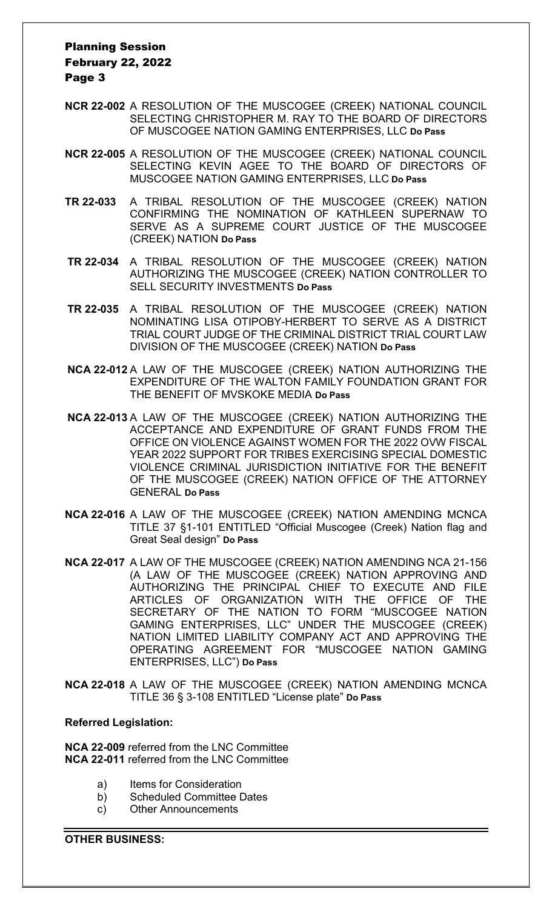## Planning Session February 22, 2022 Page 3

- **NCR 22-002** A RESOLUTION OF THE MUSCOGEE (CREEK) NATIONAL COUNCIL SELECTING CHRISTOPHER M. RAY TO THE BOARD OF DIRECTORS OF MUSCOGEE NATION GAMING ENTERPRISES, LLC **Do Pass**
- **NCR 22-005** A RESOLUTION OF THE MUSCOGEE (CREEK) NATIONAL COUNCIL SELECTING KEVIN AGEE TO THE BOARD OF DIRECTORS OF MUSCOGEE NATION GAMING ENTERPRISES, LLC **Do Pass**
- **TR 22-033** A TRIBAL RESOLUTION OF THE MUSCOGEE (CREEK) NATION CONFIRMING THE NOMINATION OF KATHLEEN SUPERNAW TO SERVE AS A SUPREME COURT JUSTICE OF THE MUSCOGEE (CREEK) NATION **Do Pass**
- **TR 22-034** A TRIBAL RESOLUTION OF THE MUSCOGEE (CREEK) NATION AUTHORIZING THE MUSCOGEE (CREEK) NATION CONTROLLER TO SELL SECURITY INVESTMENTS **Do Pass**
- **TR 22-035** A TRIBAL RESOLUTION OF THE MUSCOGEE (CREEK) NATION NOMINATING LISA OTIPOBY-HERBERT TO SERVE AS A DISTRICT TRIAL COURT JUDGE OF THE CRIMINAL DISTRICT TRIAL COURT LAW DIVISION OF THE MUSCOGEE (CREEK) NATION **Do Pass**
- **NCA 22-012** A LAW OF THE MUSCOGEE (CREEK) NATION AUTHORIZING THE EXPENDITURE OF THE WALTON FAMILY FOUNDATION GRANT FOR THE BENEFIT OF MVSKOKE MEDIA **Do Pass**
- **NCA 22-013** A LAW OF THE MUSCOGEE (CREEK) NATION AUTHORIZING THE ACCEPTANCE AND EXPENDITURE OF GRANT FUNDS FROM THE OFFICE ON VIOLENCE AGAINST WOMEN FOR THE 2022 OVW FISCAL YEAR 2022 SUPPORT FOR TRIBES EXERCISING SPECIAL DOMESTIC VIOLENCE CRIMINAL JURISDICTION INITIATIVE FOR THE BENEFIT OF THE MUSCOGEE (CREEK) NATION OFFICE OF THE ATTORNEY GENERAL **Do Pass**
- **NCA 22-016** A LAW OF THE MUSCOGEE (CREEK) NATION AMENDING MCNCA TITLE 37 §1-101 ENTITLED "Official Muscogee (Creek) Nation flag and Great Seal design" **Do Pass**
- **NCA 22-017** A LAW OF THE MUSCOGEE (CREEK) NATION AMENDING NCA 21-156 (A LAW OF THE MUSCOGEE (CREEK) NATION APPROVING AND AUTHORIZING THE PRINCIPAL CHIEF TO EXECUTE AND FILE ARTICLES OF ORGANIZATION WITH THE OFFICE OF THE SECRETARY OF THE NATION TO FORM "MUSCOGEE NATION GAMING ENTERPRISES, LLC" UNDER THE MUSCOGEE (CREEK) NATION LIMITED LIABILITY COMPANY ACT AND APPROVING THE OPERATING AGREEMENT FOR "MUSCOGEE NATION GAMING ENTERPRISES, LLC") **Do Pass**
- **NCA 22-018** A LAW OF THE MUSCOGEE (CREEK) NATION AMENDING MCNCA TITLE 36 § 3-108 ENTITLED "License plate" **Do Pass**

#### **Referred Legislation:**

**NCA 22-009** referred from the LNC Committee **NCA 22-011** referred from the LNC Committee

- a) Items for Consideration
- b) Scheduled Committee Dates
- c) Other Announcements

**OTHER BUSINESS:**